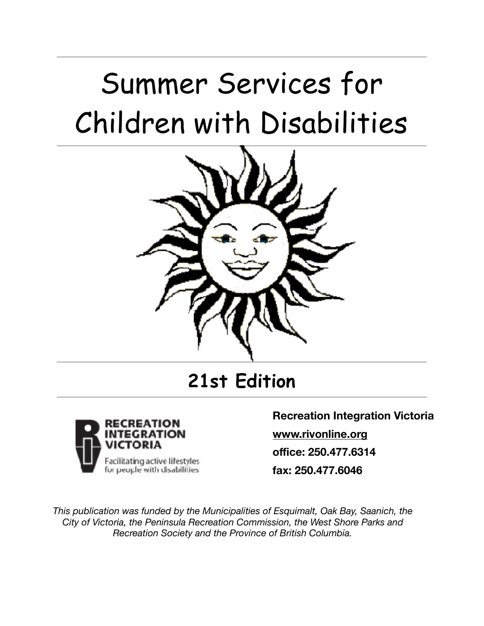# Summer Services for Children with Disabilities



**21st Edition**



**Recreation Integration Victoria [www.rivonline.org](http://www.rivonline.org) office: 250.477.6314 fax: 250.477.6046**

*This publication was funded by the Municipalities of Esquimalt, Oak Bay, Saanich, the City of Victoria, the Peninsula Recreation Commission, the West Shore Parks and Recreation Society and the Province of British Columbia.*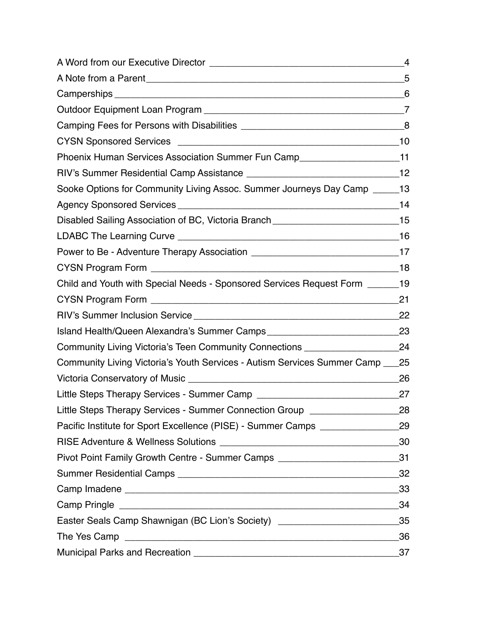|                                                                                    | 4   |
|------------------------------------------------------------------------------------|-----|
|                                                                                    | .5  |
|                                                                                    | 6   |
|                                                                                    |     |
|                                                                                    |     |
|                                                                                    |     |
| Phoenix Human Services Association Summer Fun Camp____________________________11   |     |
|                                                                                    |     |
| Sooke Options for Community Living Assoc. Summer Journeys Day Camp ______13        |     |
|                                                                                    |     |
|                                                                                    |     |
|                                                                                    |     |
|                                                                                    |     |
|                                                                                    |     |
| Child and Youth with Special Needs - Sponsored Services Request Form _______19     |     |
|                                                                                    | -21 |
|                                                                                    |     |
| Island Health/Queen Alexandra's Summer Camps ___________________________________23 |     |
| Community Living Victoria's Teen Community Connections ________________________24  |     |
| Community Living Victoria's Youth Services - Autism Services Summer Camp ___ 25    |     |
|                                                                                    | 26  |
|                                                                                    | 27  |
| Little Steps Therapy Services - Summer Connection Group ________________________28 |     |
| Pacific Institute for Sport Excellence (PISE) - Summer Camps ___________________29 |     |
|                                                                                    |     |
| Pivot Point Family Growth Centre - Summer Camps ______________________________31   |     |
|                                                                                    |     |
|                                                                                    |     |
|                                                                                    |     |
| Easter Seals Camp Shawnigan (BC Lion's Society) ________________________________35 |     |
|                                                                                    |     |
|                                                                                    | 37  |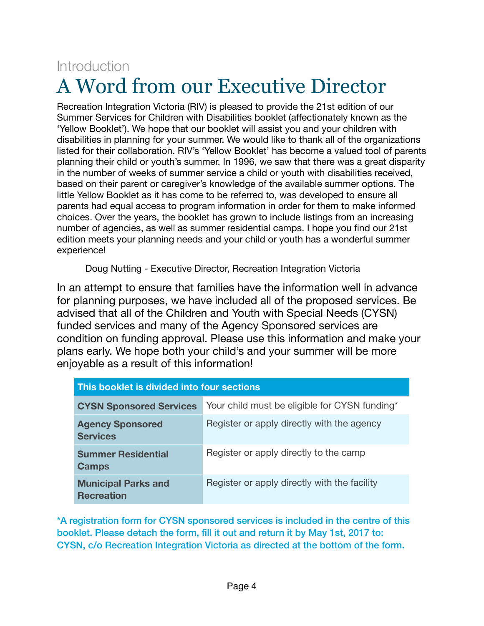# <span id="page-3-0"></span>**Introduction** A Word from our Executive Director

Recreation Integration Victoria (RIV) is pleased to provide the 21st edition of our Summer Services for Children with Disabilities booklet (affectionately known as the 'Yellow Booklet'). We hope that our booklet will assist you and your children with disabilities in planning for your summer. We would like to thank all of the organizations listed for their collaboration. RIV's 'Yellow Booklet' has become a valued tool of parents planning their child or youth's summer. In 1996, we saw that there was a great disparity in the number of weeks of summer service a child or youth with disabilities received, based on their parent or caregiver's knowledge of the available summer options. The little Yellow Booklet as it has come to be referred to, was developed to ensure all parents had equal access to program information in order for them to make informed choices. Over the years, the booklet has grown to include listings from an increasing number of agencies, as well as summer residential camps. I hope you find our 21st edition meets your planning needs and your child or youth has a wonderful summer experience!

Doug Nutting - Executive Director, Recreation Integration Victoria

In an attempt to ensure that families have the information well in advance for planning purposes, we have included all of the proposed services. Be advised that all of the Children and Youth with Special Needs (CYSN) funded services and many of the Agency Sponsored services are condition on funding approval. Please use this information and make your plans early. We hope both your child's and your summer will be more enjoyable as a result of this information!

| This booklet is divided into four sections      |                                               |  |
|-------------------------------------------------|-----------------------------------------------|--|
| <b>CYSN Sponsored Services</b>                  | Your child must be eligible for CYSN funding* |  |
| <b>Agency Sponsored</b><br><b>Services</b>      | Register or apply directly with the agency    |  |
| <b>Summer Residential</b><br><b>Camps</b>       | Register or apply directly to the camp        |  |
| <b>Municipal Parks and</b><br><b>Recreation</b> | Register or apply directly with the facility  |  |

\*A registration form for CYSN sponsored services is included in the centre of this booklet. Please detach the form, fill it out and return it by May 1st, 2017 to: CYSN, c/o Recreation Integration Victoria as directed at the bottom of the form.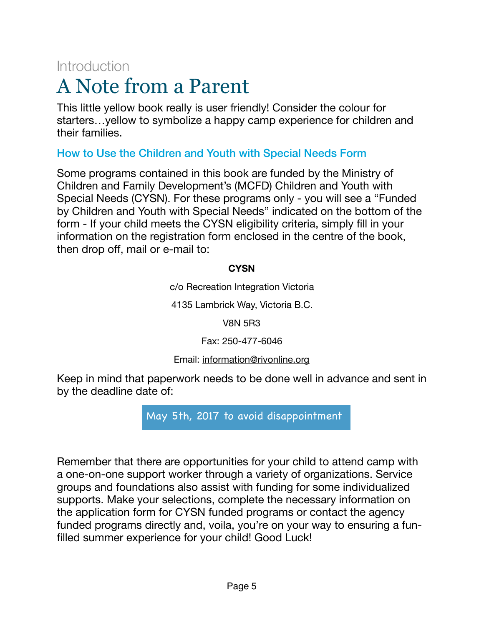# **Introduction**

# <span id="page-4-0"></span>A Note from a Parent

This little yellow book really is user friendly! Consider the colour for starters…yellow to symbolize a happy camp experience for children and their families.

### How to Use the Children and Youth with Special Needs Form

Some programs contained in this book are funded by the Ministry of Children and Family Development's (MCFD) Children and Youth with Special Needs (CYSN). For these programs only - you will see a "Funded by Children and Youth with Special Needs" indicated on the bottom of the form - If your child meets the CYSN eligibility criteria, simply fill in your information on the registration form enclosed in the centre of the book, then drop off, mail or e-mail to:

#### **CYSN**

c/o Recreation Integration Victoria

4135 Lambrick Way, Victoria B.C.

V8N 5R3

Fax: 250-477-6046

#### Email: [information@rivonline.org](mailto:information@rivonline.org)

Keep in mind that paperwork needs to be done well in advance and sent in by the deadline date of:

May 5th, 2017 to avoid disappointment

Remember that there are opportunities for your child to attend camp with a one-on-one support worker through a variety of organizations. Service groups and foundations also assist with funding for some individualized supports. Make your selections, complete the necessary information on the application form for CYSN funded programs or contact the agency funded programs directly and, voila, you're on your way to ensuring a funfilled summer experience for your child! Good Luck!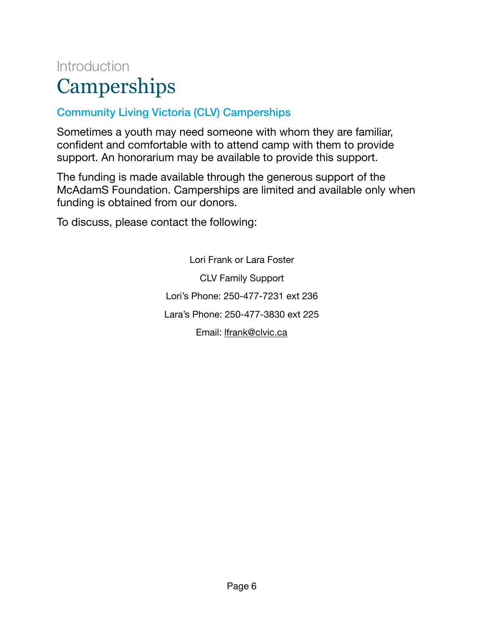# <span id="page-5-0"></span>Introduction **Camperships**

## Community Living Victoria (CLV) Camperships

Sometimes a youth may need someone with whom they are familiar, confident and comfortable with to attend camp with them to provide support. An honorarium may be available to provide this support.

The funding is made available through the generous support of the McAdamS Foundation. Camperships are limited and available only when funding is obtained from our donors.

To discuss, please contact the following:

Lori Frank or Lara Foster CLV Family Support Lori's Phone: 250-477-7231 ext 236 Lara's Phone: 250-477-3830 ext 225 Email: [lfrank@clvic.ca](mailto:lfrank@clvic.ca)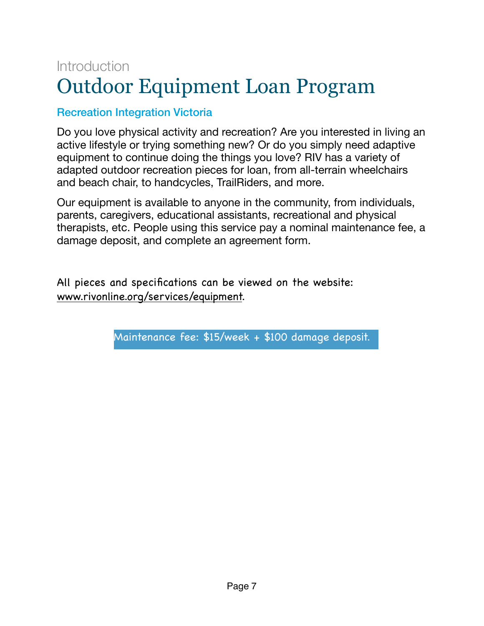# <span id="page-6-0"></span>**Introduction** Outdoor Equipment Loan Program

## Recreation Integration Victoria

Do you love physical activity and recreation? Are you interested in living an active lifestyle or trying something new? Or do you simply need adaptive equipment to continue doing the things you love? RIV has a variety of adapted outdoor recreation pieces for loan, from all-terrain wheelchairs and beach chair, to handcycles, TrailRiders, and more.

Our equipment is available to anyone in the community, from individuals, parents, caregivers, educational assistants, recreational and physical therapists, etc. People using this service pay a nominal maintenance fee, a damage deposit, and complete an agreement form.

All pieces and specifications can be viewed on the website: [www.rivonline.org/services/equipment.](http://www.rivonline.org/services/equipment)

Maintenance fee: \$15/week + \$100 damage deposit.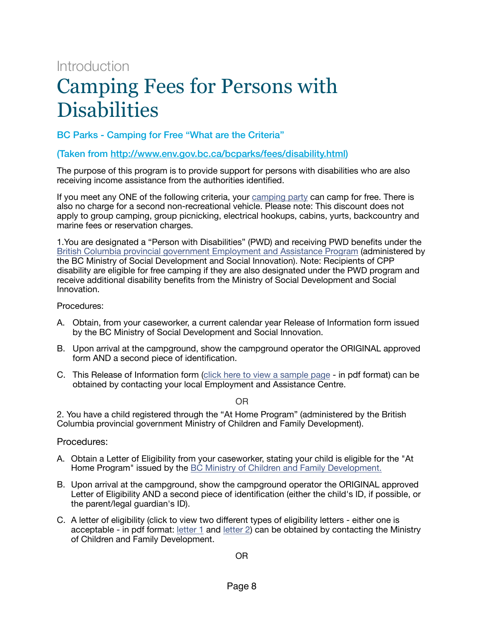# Introduction

# <span id="page-7-0"></span>Camping Fees for Persons with **Disabilities**

BC Parks - Camping for Free "What are the Criteria"

#### (Taken from <http://www.env.gov.bc.ca/bcparks/fees/disability.html>)

The purpose of this program is to provide support for persons with disabilities who are also receiving income assistance from the authorities identified.

If you meet any ONE of the following criteria, your [camping party](http://www.env.gov.bc.ca/bcparks/fees/index.html#party) can camp for free. There is also no charge for a second non-recreational vehicle. Please note: This discount does not apply to group camping, group picnicking, electrical hookups, cabins, yurts, backcountry and marine fees or reservation charges.

1.You are designated a "Person with Disabilities" (PWD) and receiving PWD benefits under the [British Columbia provincial government Employment and Assistance Program](http://www.eia.gov.bc.ca/PUBLICAT/bcea/pwd.htm) (administered by the BC Ministry of Social Development and Social Innovation). Note: Recipients of CPP disability are eligible for free camping if they are also designated under the PWD program and receive additional disability benefits from the Ministry of Social Development and Social Innovation.

Procedures:

- A. Obtain, from your caseworker, a current calendar year Release of Information form issued by the BC Ministry of Social Development and Social Innovation.
- B. Upon arrival at the campground, show the campground operator the ORIGINAL approved form AND a second piece of identification.
- C. This Release of Information form [\(click here to view a sample page](http://www.hsd.gov.bc.ca/forms/pdf/HR0095.pdf?v=1485381694385)  in pdf format) can be obtained by contacting your local Employment and Assistance Centre.

OR

2. You have a child registered through the "At Home Program" (administered by the British Columbia provincial government Ministry of Children and Family Development).

#### Procedures:

- A. Obtain a Letter of Eligibility from your caseworker, stating your child is eligible for the "At Home Program" issued by the [BC Ministry of Children and Family Development.](http://www.mcf.gov.bc.ca/at_home/)
- B. Upon arrival at the campground, show the campground operator the ORIGINAL approved Letter of Eligibility AND a second piece of identification (either the child's ID, if possible, or the parent/legal guardian's ID).
- C. A letter of eligibility (click to view two different types of eligibility letters either one is acceptable - in pdf format: letter  $1$  and letter  $2$ ) can be obtained by contacting the Ministry of Children and Family Development.

OR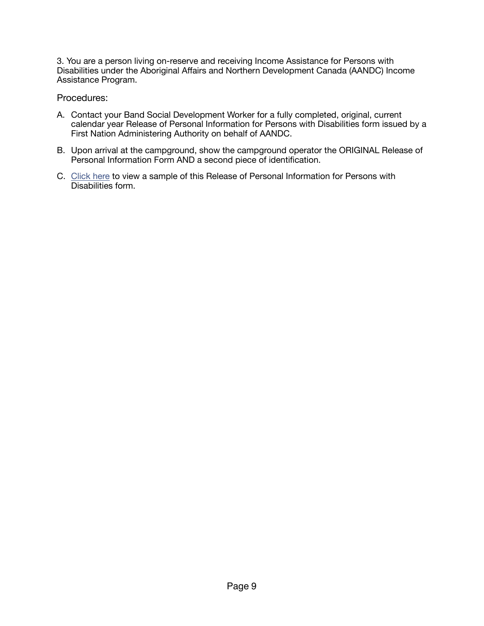3. You are a person living on-reserve and receiving Income Assistance for Persons with Disabilities under the Aboriginal Affairs and Northern Development Canada (AANDC) Income Assistance Program.

Procedures:

- A. Contact your Band Social Development Worker for a fully completed, original, current calendar year Release of Personal Information for Persons with Disabilities form issued by a First Nation Administering Authority on behalf of AANDC.
- B. Upon arrival at the campground, show the campground operator the ORIGINAL Release of Personal Information Form AND a second piece of identification.
- C. [Click here](http://www.env.gov.bc.ca/bcparks/fees/aandc-release-of-information.pdf?v=1485381694385) to view a sample of this Release of Personal Information for Persons with Disabilities form.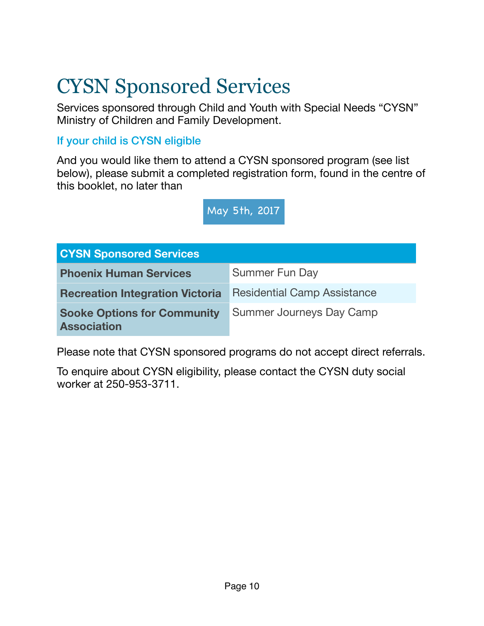# <span id="page-9-0"></span>CYSN Sponsored Services

Services sponsored through Child and Youth with Special Needs "CYSN" Ministry of Children and Family Development.

## If your child is CYSN eligible

And you would like them to attend a CYSN sponsored program (see list below), please submit a completed registration form, found in the centre of this booklet, no later than

May 5th, 2017

| <b>CYSN Sponsored Services</b>                           |                                    |  |
|----------------------------------------------------------|------------------------------------|--|
| <b>Phoenix Human Services</b>                            | Summer Fun Day                     |  |
| <b>Recreation Integration Victoria</b>                   | <b>Residential Camp Assistance</b> |  |
| <b>Sooke Options for Community</b><br><b>Association</b> | Summer Journeys Day Camp           |  |

Please note that CYSN sponsored programs do not accept direct referrals.

To enquire about CYSN eligibility, please contact the CYSN duty social worker at 250-953-3711.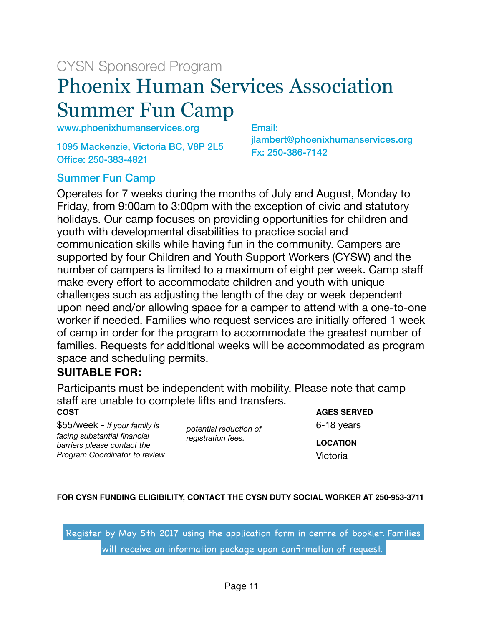# CYSN Sponsored Program

# <span id="page-10-0"></span>Phoenix Human Services Association Summer Fun Camp

[www.phoenixhumanservices.org](http://www.phoenixhumanservices.org)

1095 Mackenzie, Victoria BC, V8P 2L5 Office: 250-383-4821

Email: jlambert@phoenixhumanservices.org Fx: 250-386-7142

## Summer Fun Camp

Operates for 7 weeks during the months of July and August, Monday to Friday, from 9:00am to 3:00pm with the exception of civic and statutory holidays. Our camp focuses on providing opportunities for children and youth with developmental disabilities to practice social and communication skills while having fun in the community. Campers are supported by four Children and Youth Support Workers (CYSW) and the number of campers is limited to a maximum of eight per week. Camp staff make every effort to accommodate children and youth with unique challenges such as adjusting the length of the day or week dependent upon need and/or allowing space for a camper to attend with a one-to-one worker if needed. Families who request services are initially offered 1 week of camp in order for the program to accommodate the greatest number of families. Requests for additional weeks will be accommodated as program space and scheduling permits.

#### **SUITABLE FOR:**

Participants must be independent with mobility. Please note that camp staff are unable to complete lifts and transfers. **COST**

\$55/week - *If your family is facing substantial financial barriers please contact the Program Coordinator to review* 

*potential reduction of registration fees.* 

**AGES SERVED** 6-18 years **LOCATION** Victoria

#### **FOR CYSN FUNDING ELIGIBILITY, CONTACT THE CYSN DUTY SOCIAL WORKER AT 250-953-3711**

 Register by May 5th 2017 using the application form in centre of booklet. Families will receive an information package upon confirmation of request.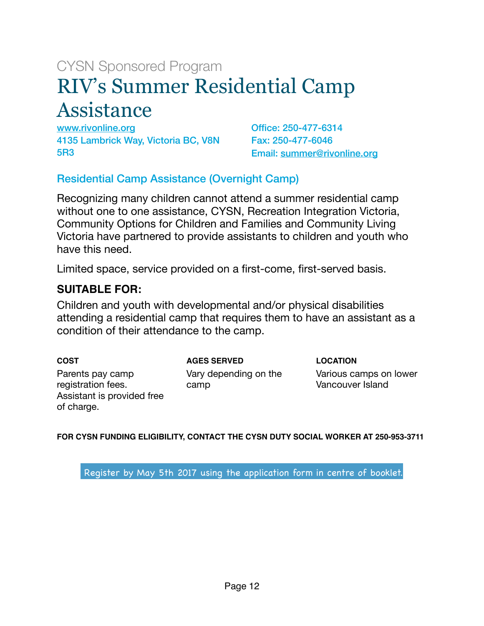# <span id="page-11-0"></span>CYSN Sponsored Program RIV's Summer Residential Camp Assistance

[www.rivonline.org](http://www.rivonline.org) 4135 Lambrick Way, Victoria BC, V8N 5R3

Office: 250-477-6314 Fax: 250-477-6046 Email: [summer@rivonline.org](mailto:summer@rivonline.org)

### Residential Camp Assistance (Overnight Camp)

Recognizing many children cannot attend a summer residential camp without one to one assistance, CYSN, Recreation Integration Victoria, Community Options for Children and Families and Community Living Victoria have partnered to provide assistants to children and youth who have this need.

Limited space, service provided on a first-come, first-served basis.

#### **SUITABLE FOR:**

Children and youth with developmental and/or physical disabilities attending a residential camp that requires them to have an assistant as a condition of their attendance to the camp.

**COST** Parents pay camp registration fees. Assistant is provided free of charge.

**AGES SERVED** Vary depending on the

camp

**LOCATION**

Various camps on lower Vancouver Island

**FOR CYSN FUNDING ELIGIBILITY, CONTACT THE CYSN DUTY SOCIAL WORKER AT 250-953-3711**

Register by May 5th 2017 using the application form in centre of booklet.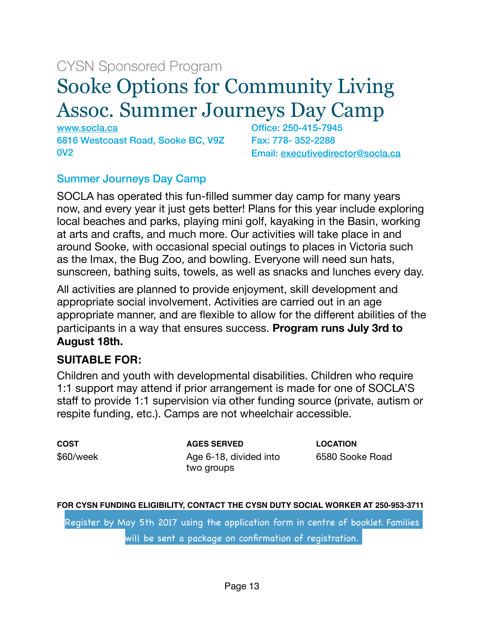# CYSN Sponsored Program

# <span id="page-12-0"></span>Sooke Options for Community Living Assoc. Summer Journeys Day Camp

[www.socla.ca](http://www.socla.ca)  6816 Westcoast Road, Sooke BC, V9Z 0V2

Office: 250-415-7945 Fax: 778- 352-2288 Email: [executivedirector@socla.ca](mailto:executivedirector@socla.ca)

#### Summer Journeys Day Camp

SOCLA has operated this fun-filled summer day camp for many years now, and every year it just gets better! Plans for this year include exploring local beaches and parks, playing mini golf, kayaking in the Basin, working at arts and crafts, and much more. Our activities will take place in and around Sooke, with occasional special outings to places in Victoria such as the Imax, the Bug Zoo, and bowling. Everyone will need sun hats, sunscreen, bathing suits, towels, as well as snacks and lunches every day.

All activities are planned to provide enjoyment, skill development and appropriate social involvement. Activities are carried out in an age appropriate manner, and are flexible to allow for the different abilities of the participants in a way that ensures success. **Program runs July 3rd to August 18th.** 

#### **SUITABLE FOR:**

Children and youth with developmental disabilities. Children who require 1:1 support may attend if prior arrangement is made for one of SOCLA'S staff to provide 1:1 supervision via other funding source (private, autism or respite funding, etc.). Camps are not wheelchair accessible.

**COST** \$60/week **AGES SERVED** Age 6-18, divided into two groups

**LOCATION** 6580 Sooke Road

#### **FOR CYSN FUNDING ELIGIBILITY, CONTACT THE CYSN DUTY SOCIAL WORKER AT 250-953-3711**

Register by May 5th 2017 using the application form in centre of booklet. Families will be sent a package on confirmation of registration.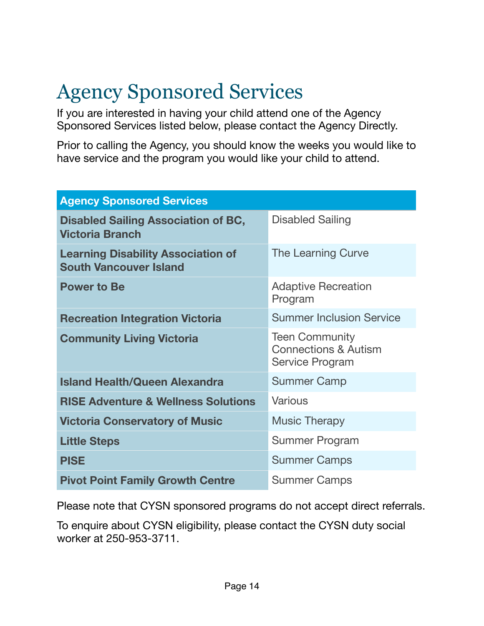# <span id="page-13-0"></span>Agency Sponsored Services

If you are interested in having your child attend one of the Agency Sponsored Services listed below, please contact the Agency Directly.

Prior to calling the Agency, you should know the weeks you would like to have service and the program you would like your child to attend.

| <b>Agency Sponsored Services</b>                                           |                                                                                    |  |
|----------------------------------------------------------------------------|------------------------------------------------------------------------------------|--|
| <b>Disabled Sailing Association of BC,</b><br><b>Victoria Branch</b>       | <b>Disabled Sailing</b>                                                            |  |
| <b>Learning Disability Association of</b><br><b>South Vancouver Island</b> | The Learning Curve                                                                 |  |
| <b>Power to Be</b>                                                         | <b>Adaptive Recreation</b><br>Program                                              |  |
| <b>Recreation Integration Victoria</b>                                     | <b>Summer Inclusion Service</b>                                                    |  |
| <b>Community Living Victoria</b>                                           | <b>Teen Community</b><br><b>Connections &amp; Autism</b><br><b>Service Program</b> |  |
| <b>Island Health/Queen Alexandra</b>                                       | <b>Summer Camp</b>                                                                 |  |
| <b>RISE Adventure &amp; Wellness Solutions</b>                             | Various                                                                            |  |
| <b>Victoria Conservatory of Music</b>                                      | <b>Music Therapy</b>                                                               |  |
| <b>Little Steps</b>                                                        | Summer Program                                                                     |  |
| <b>PISE</b>                                                                | <b>Summer Camps</b>                                                                |  |
| <b>Pivot Point Family Growth Centre</b>                                    | <b>Summer Camps</b>                                                                |  |

Please note that CYSN sponsored programs do not accept direct referrals.

To enquire about CYSN eligibility, please contact the CYSN duty social worker at 250-953-3711.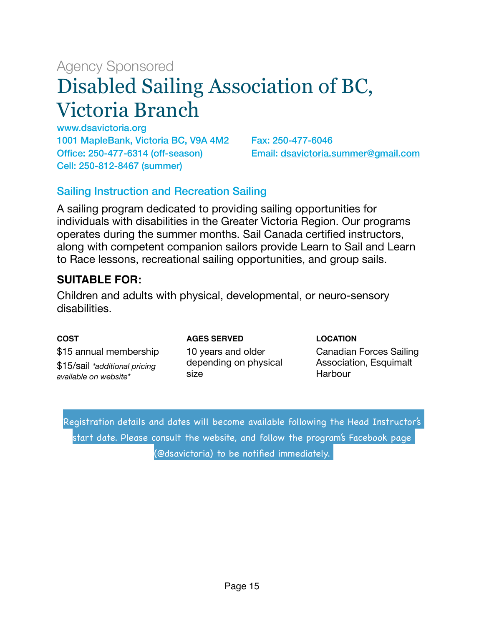# <span id="page-14-0"></span>Agency Sponsored Disabled Sailing Association of BC, Victoria Branch

[www.dsavictoria.org](http://www.dsavictoria.org) 1001 MapleBank, Victoria BC, V9A 4M2 Office: 250-477-6314 (off-season) Cell: 250-812-8467 (summer)

Fax: 250-477-6046 Email: [dsavictoria.summer@gmail.com](mailto:dsavictoria.summer@gmail.com)

## Sailing Instruction and Recreation Sailing

A sailing program dedicated to providing sailing opportunities for individuals with disabilities in the Greater Victoria Region. Our programs operates during the summer months. Sail Canada certified instructors, along with competent companion sailors provide Learn to Sail and Learn to Race lessons, recreational sailing opportunities, and group sails.

### **SUITABLE FOR:**

Children and adults with physical, developmental, or neuro-sensory disabilities.

#### **COST**

**AGES SERVED**

**LOCATION**

\$15 annual membership \$15/sail *\*additional pricing available on website\**

10 years and older depending on physical size

Canadian Forces Sailing Association, Esquimalt Harbour

Registration details and dates will become available following the Head Instructor's start date. Please consult the website, and follow the program's Facebook page (@dsavictoria) to be notified immediately.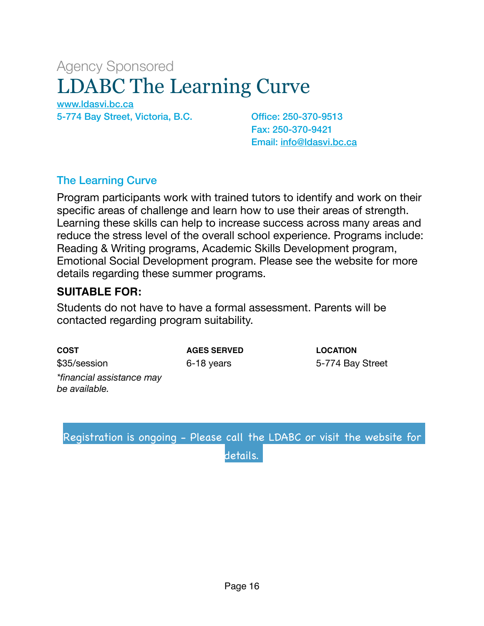# <span id="page-15-0"></span>Agency Sponsored LDABC The Learning Curve

[www.ldasvi.bc.ca](http://www.ldasvi.bc.ca)  5-774 Bay Street, Victoria, B.C. Office: 250-370-9513

Fax: 250-370-9421 Email: [info@ldasvi.bc.ca](mailto:info@ldasvi.bc.ca)

### The Learning Curve

Program participants work with trained tutors to identify and work on their specific areas of challenge and learn how to use their areas of strength. Learning these skills can help to increase success across many areas and reduce the stress level of the overall school experience. Programs include: Reading & Writing programs, Academic Skills Development program, Emotional Social Development program. Please see the website for more details regarding these summer programs.

#### **SUITABLE FOR:**

Students do not have to have a formal assessment. Parents will be contacted regarding program suitability.

**COST** \$35/session *\*financial assistance may be available.* 

**AGES SERVED** 6-18 years

**LOCATION** 5-774 Bay Street

Registration is ongoing - Please call the LDABC or visit the website for details.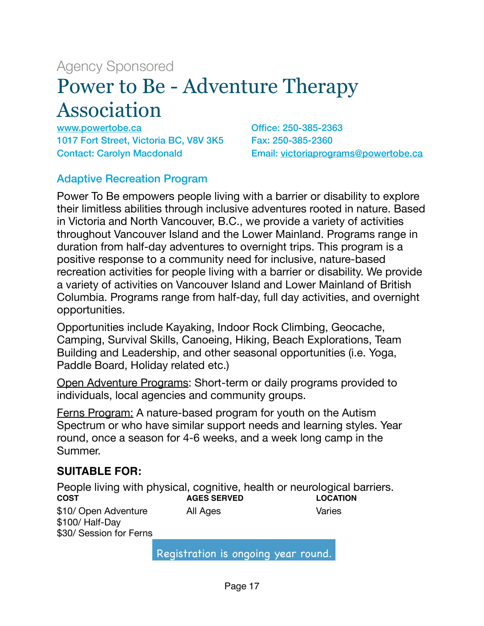# <span id="page-16-0"></span>Agency Sponsored Power to Be - Adventure Therapy Association

[www.powertobe.ca](http://www.powertobe.ca) 1017 Fort Street, Victoria BC, V8V 3K5 Contact: Carolyn Macdonald

Office: 250-385-2363 Fax: 250-385-2360 Email: [victoriaprograms@powertobe.ca](mailto:victoriaprograms@powertobe.ca)

#### Adaptive Recreation Program

Power To Be empowers people living with a barrier or disability to explore their limitless abilities through inclusive adventures rooted in nature. Based in Victoria and North Vancouver, B.C., we provide a variety of activities throughout Vancouver Island and the Lower Mainland. Programs range in duration from half-day adventures to overnight trips. This program is a positive response to a community need for inclusive, nature-based recreation activities for people living with a barrier or disability. We provide a variety of activities on Vancouver Island and Lower Mainland of British Columbia. Programs range from half-day, full day activities, and overnight opportunities.

Opportunities include Kayaking, Indoor Rock Climbing, Geocache, Camping, Survival Skills, Canoeing, Hiking, Beach Explorations, Team Building and Leadership, and other seasonal opportunities (i.e. Yoga, Paddle Board, Holiday related etc.)

Open Adventure Programs: Short-term or daily programs provided to individuals, local agencies and community groups.

Ferns Program: A nature-based program for youth on the Autism Spectrum or who have similar support needs and learning styles. Year round, once a season for 4-6 weeks, and a week long camp in the Summer.

#### **SUITABLE FOR:**

People living with physical, cognitive, health or neurological barriers. **COST** \$10/ Open Adventure \$100/ Half-Day **AGES SERVED** All Ages **LOCATION** Varies \$30/ Session for Ferns

Registration is ongoing year round.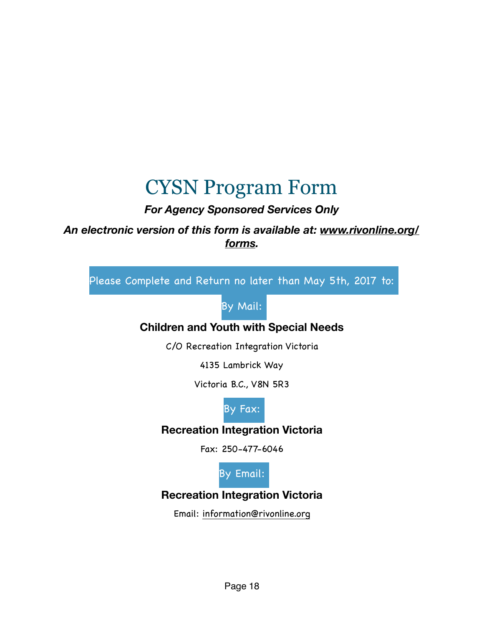# <span id="page-17-0"></span>CYSN Program Form

# *For Agency Sponsored Services Only*

## *An electronic version of this form is available at: [www.rivonline.org/](http://www.rivonline.org/forms) [forms](http://www.rivonline.org/forms).*

Please Complete and Return no later than May 5th, 2017 to:

# By Mail:

## **Children and Youth with Special Needs**

C/O Recreation Integration Victoria

4135 Lambrick Way

Victoria B.C., V8N 5R3



## **Recreation Integration Victoria**

Fax: 250-477-6046



# **Recreation Integration Victoria**

Email: [information@rivonline.org](mailto:information@rivonline.org)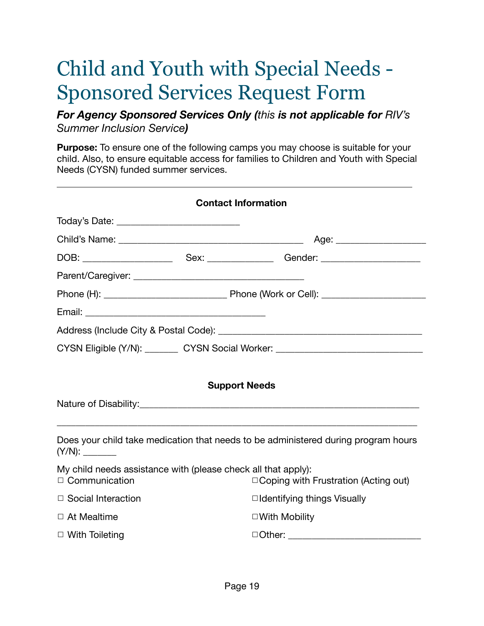# <span id="page-18-0"></span>Child and Youth with Special Needs - Sponsored Services Request Form

*For Agency Sponsored Services Only (this is not applicable for RIV's Summer Inclusion Service)* 

**Purpose:** To ensure one of the following camps you may choose is suitable for your child. Also, to ensure equitable access for families to Children and Youth with Special Needs (CYSN) funded summer services.

| CYSN Eligible (Y/N): _________ CYSN Social Worker: _____________________________                             |  |  |
|--------------------------------------------------------------------------------------------------------------|--|--|
|                                                                                                              |  |  |
|                                                                                                              |  |  |
|                                                                                                              |  |  |
|                                                                                                              |  |  |
|                                                                                                              |  |  |
|                                                                                                              |  |  |
|                                                                                                              |  |  |
|                                                                                                              |  |  |
|                                                                                                              |  |  |
| <b>Support Needs</b>                                                                                         |  |  |
|                                                                                                              |  |  |
|                                                                                                              |  |  |
| Does your child take medication that needs to be administered during program hours                           |  |  |
| My child needs assistance with (please check all that apply):<br>$\Box$ Coping with Frustration (Acting out) |  |  |
| $\Box$ Identifying things Visually                                                                           |  |  |
|                                                                                                              |  |  |
| $\Box$ With Mobility                                                                                         |  |  |
|                                                                                                              |  |  |
|                                                                                                              |  |  |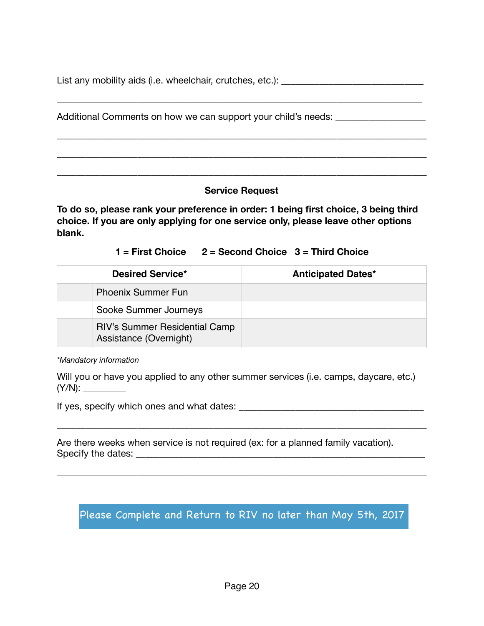List any mobility aids (i.e. wheelchair, crutches, etc.): \_\_\_\_\_\_\_\_\_\_\_\_\_\_\_\_\_\_\_\_\_\_

\_\_\_\_\_\_\_\_\_\_\_\_\_\_\_\_\_\_\_\_\_\_\_\_\_\_\_\_\_\_\_\_\_\_\_\_\_\_\_\_\_\_\_\_\_\_\_\_\_\_\_\_\_\_\_\_\_\_\_\_\_\_\_\_\_\_\_\_\_\_\_\_\_\_\_\_\_

\_\_\_\_\_\_\_\_\_\_\_\_\_\_\_\_\_\_\_\_\_\_\_\_\_\_\_\_\_\_\_\_\_\_\_\_\_\_\_\_\_\_\_\_\_\_\_\_\_\_\_\_\_\_\_\_\_\_\_\_\_\_\_\_\_\_\_\_\_\_\_\_\_\_\_\_\_\_

\_\_\_\_\_\_\_\_\_\_\_\_\_\_\_\_\_\_\_\_\_\_\_\_\_\_\_\_\_\_\_\_\_\_\_\_\_\_\_\_\_\_\_\_\_\_\_\_\_\_\_\_\_\_\_\_\_\_\_\_\_\_\_\_\_\_\_\_\_\_\_\_\_\_\_\_\_\_

\_\_\_\_\_\_\_\_\_\_\_\_\_\_\_\_\_\_\_\_\_\_\_\_\_\_\_\_\_\_\_\_\_\_\_\_\_\_\_\_\_\_\_\_\_\_\_\_\_\_\_\_\_\_\_\_\_\_\_\_\_\_\_\_\_\_\_\_\_\_\_\_\_\_\_\_\_\_

Additional Comments on how we can support your child's needs: \_\_\_\_\_\_\_\_\_\_\_\_\_\_\_\_\_\_

#### **Service Request**

**To do so, please rank your preference in order: 1 being first choice, 3 being third choice. If you are only applying for one service only, please leave other options blank.** 

**1 = First Choice 2 = Second Choice 3 = Third Choice** 

| <b>Desired Service*</b>                                        | <b>Anticipated Dates*</b> |
|----------------------------------------------------------------|---------------------------|
| <b>Phoenix Summer Fun</b>                                      |                           |
| Sooke Summer Journeys                                          |                           |
| <b>RIV's Summer Residential Camp</b><br>Assistance (Overnight) |                           |

*\*Mandatory information* 

Will you or have you applied to any other summer services (i.e. camps, daycare, etc.) (Y/N): \_\_\_\_\_\_\_\_\_

\_\_\_\_\_\_\_\_\_\_\_\_\_\_\_\_\_\_\_\_\_\_\_\_\_\_\_\_\_\_\_\_\_\_\_\_\_\_\_\_\_\_\_\_\_\_\_\_\_\_\_\_\_\_\_\_\_\_\_\_\_\_\_\_\_\_\_\_\_\_\_\_\_\_\_\_\_\_

\_\_\_\_\_\_\_\_\_\_\_\_\_\_\_\_\_\_\_\_\_\_\_\_\_\_\_\_\_\_\_\_\_\_\_\_\_\_\_\_\_\_\_\_\_\_\_\_\_\_\_\_\_\_\_\_\_\_\_\_\_\_\_\_\_\_\_\_\_\_\_\_\_\_\_\_\_\_

If yes, specify which ones and what dates: \_\_\_\_\_\_\_\_\_\_\_\_\_\_\_\_\_\_\_\_\_\_\_\_\_\_\_\_\_\_\_\_\_\_\_\_\_\_\_

Are there weeks when service is not required (ex: for a planned family vacation). Specify the dates: \_\_\_\_\_\_\_\_\_\_\_\_\_\_\_\_\_\_\_\_\_\_\_\_\_\_\_\_\_\_\_\_\_\_\_\_\_\_\_\_\_\_\_\_\_\_\_\_\_\_\_\_\_\_\_\_\_\_\_\_\_

Please Complete and Return to RIV no later than May 5th, 2017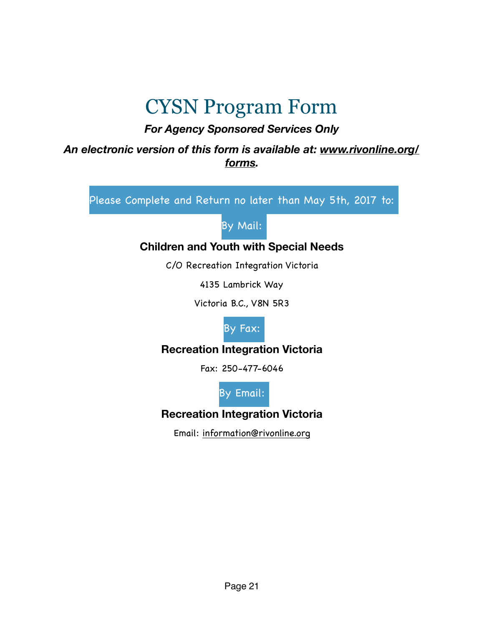# <span id="page-20-0"></span>CYSN Program Form

# *For Agency Sponsored Services Only*

### *An electronic version of this form is available at: [www.rivonline.org/](http://www.rivonline.org/forms) [forms](http://www.rivonline.org/forms).*

Please Complete and Return no later than May 5th, 2017 to:

By Mail:

## **Children and Youth with Special Needs**

C/O Recreation Integration Victoria

4135 Lambrick Way

Victoria B.C., V8N 5R3



## **Recreation Integration Victoria**

Fax: 250-477-6046

By Email:

**Recreation Integration Victoria** 

Email: [information@rivonline.org](mailto:information@rivonline.org)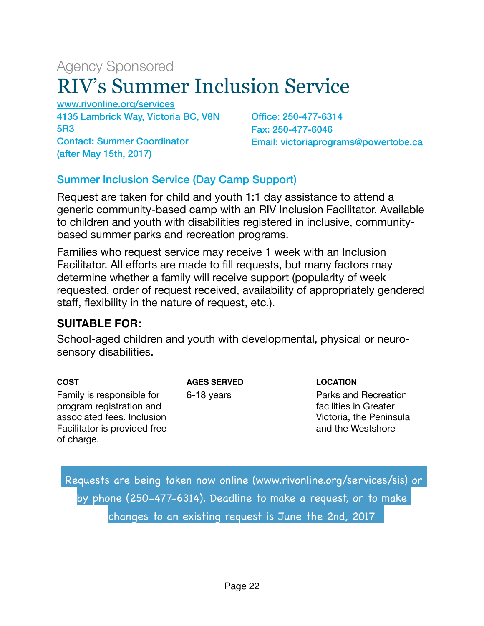# <span id="page-21-0"></span>Agency Sponsored RIV's Summer Inclusion Service

[www.rivonline.org/services](http://www.rivonline.org/services) 4135 Lambrick Way, Victoria BC, V8N 5R3 Contact: Summer Coordinator (after May 15th, 2017)

Office: 250-477-6314 Fax: 250-477-6046 Email: [victoriaprograms@powertobe.ca](mailto:victoriaprograms@powertobe.ca)

## Summer Inclusion Service (Day Camp Support)

Request are taken for child and youth 1:1 day assistance to attend a generic community-based camp with an RIV Inclusion Facilitator. Available to children and youth with disabilities registered in inclusive, communitybased summer parks and recreation programs.

Families who request service may receive 1 week with an Inclusion Facilitator. All efforts are made to fill requests, but many factors may determine whether a family will receive support (popularity of week requested, order of request received, availability of appropriately gendered staff, flexibility in the nature of request, etc.).

#### **SUITABLE FOR:**

School-aged children and youth with developmental, physical or neurosensory disabilities.

| COST                         |
|------------------------------|
| Family is responsible for    |
| program registration and     |
| associated fees. Inclusion   |
| Facilitator is provided free |
| of charge.                   |

**AGES SERVED**

6-18 years

#### **LOCATION**

Parks and Recreation facilities in Greater Victoria, the Peninsula and the Westshore

 Requests are being taken now online ([www.rivonline.org/services/sis\)](http://www.rivonline.org/services/sis) or by phone (250-477-6314). Deadline to make a request, or to make changes to an existing request is June the 2nd, 2017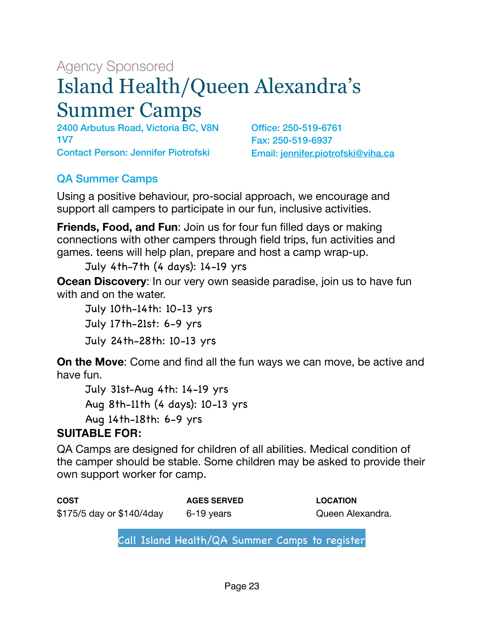# <span id="page-22-0"></span>Agency Sponsored Island Health/Queen Alexandra's Summer Camps

2400 Arbutus Road, Victoria BC, V8N 1V7 Contact Person: Jennifer Piotrofski

Office: 250-519-6761 Fax: 250-519-6937 Email: [jennifer.piotrofski@viha.ca](mailto:jennifer.piotrofski@viha.ca)

# QA Summer Camps

Using a positive behaviour, pro-social approach, we encourage and support all campers to participate in our fun, inclusive activities.

**Friends, Food, and Fun**: Join us for four fun filled days or making connections with other campers through field trips, fun activities and games. teens will help plan, prepare and host a camp wrap-up.

July 4th-7th (4 days): 14-19 yrs

**Ocean Discovery**: In our very own seaside paradise, join us to have fun with and on the water.

 July 10th-14th: 10-13 yrs July 17th-21st: 6-9 yrs July 24th-28th: 10-13 yrs

**On the Move**: Come and find all the fun ways we can move, be active and have fun.

 July 31st-Aug 4th: 14-19 yrs Aug 8th-11th (4 days): 10-13 yrs Aug 14th-18th: 6-9 yrs

## **SUITABLE FOR:**

QA Camps are designed for children of all abilities. Medical condition of the camper should be stable. Some children may be asked to provide their own support worker for camp.

| <b>COST</b>                | <b>AGES SERVED</b> | <b>LOCATION</b>  |
|----------------------------|--------------------|------------------|
| \$175/5 day or \$140/4 day | 6-19 years         | Queen Alexandra. |

Call Island Health/QA Summer Camps to register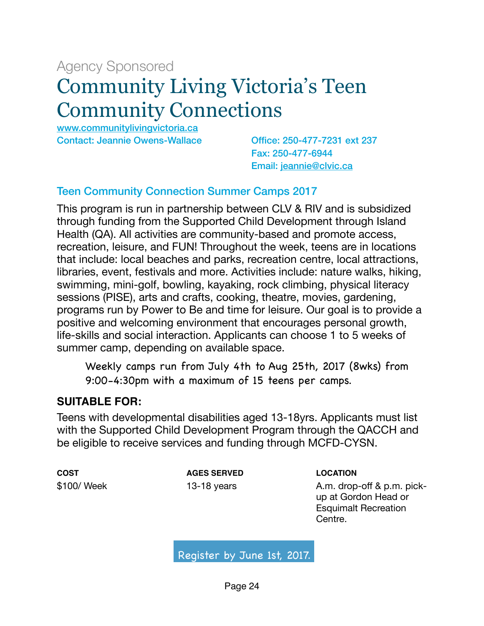# <span id="page-23-0"></span>Agency Sponsored Community Living Victoria's Teen Community Connections

[www.communitylivingvictoria.ca](http://www.communitylivingvictoria.ca)  Contact: Jeannie Owens-Wallace Office: 250-477-7231 ext 237

Fax: 250-477-6944 Email: [jeannie@clvic.ca](mailto:jeannie@clvic.ca)

## Teen Community Connection Summer Camps 2017

This program is run in partnership between CLV & RIV and is subsidized through funding from the Supported Child Development through Island Health (QA). All activities are community-based and promote access, recreation, leisure, and FUN! Throughout the week, teens are in locations that include: local beaches and parks, recreation centre, local attractions, libraries, event, festivals and more. Activities include: nature walks, hiking, swimming, mini-golf, bowling, kayaking, rock climbing, physical literacy sessions (PISE), arts and crafts, cooking, theatre, movies, gardening, programs run by Power to Be and time for leisure. Our goal is to provide a positive and welcoming environment that encourages personal growth, life-skills and social interaction. Applicants can choose 1 to 5 weeks of summer camp, depending on available space.

 Weekly camps run from July 4th to Aug 25th, 2017 (8wks) from 9:00-4:30pm with a maximum of 15 teens per camps.

#### **SUITABLE FOR:**

Teens with developmental disabilities aged 13-18yrs. Applicants must list with the Supported Child Development Program through the QACCH and be eligible to receive services and funding through MCFD-CYSN.

**COST** \$100/ Week **AGES SERVED** 13-18 years

**LOCATION**

A.m. drop-off & p.m. pickup at Gordon Head or Esquimalt Recreation Centre.

Register by June 1st, 2017.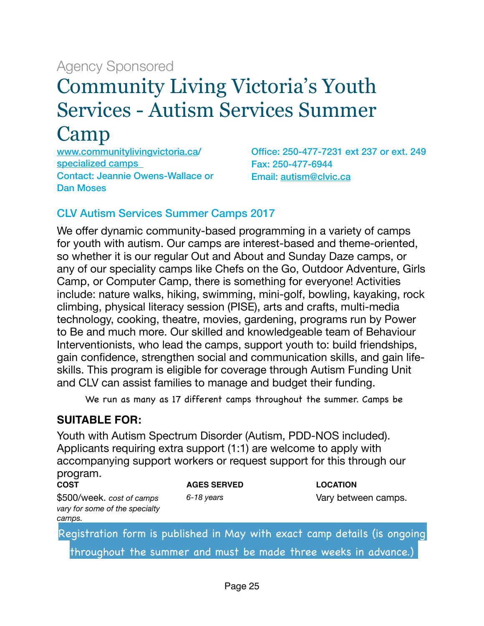# <span id="page-24-0"></span>Agency Sponsored Community Living Victoria's Youth Services - Autism Services Summer Camp

[www.communitylivingvictoria.ca/](http://www.communitylivingvictoria.ca) specialized camps Contact: Jeannie Owens-Wallace or Dan Moses

Office: 250-477-7231 ext 237 or ext. 249 Fax: 250-477-6944 Email: [autism@clvic.ca](mailto:autism@clvic.ca) 

#### CLV Autism Services Summer Camps 2017

We offer dynamic community-based programming in a variety of camps for youth with autism. Our camps are interest-based and theme-oriented, so whether it is our regular Out and About and Sunday Daze camps, or any of our speciality camps like Chefs on the Go, Outdoor Adventure, Girls Camp, or Computer Camp, there is something for everyone! Activities include: nature walks, hiking, swimming, mini-golf, bowling, kayaking, rock climbing, physical literacy session (PISE), arts and crafts, multi-media technology, cooking, theatre, movies, gardening, programs run by Power to Be and much more. Our skilled and knowledgeable team of Behaviour Interventionists, who lead the camps, support youth to: build friendships, gain confidence, strengthen social and communication skills, and gain lifeskills. This program is eligible for coverage through Autism Funding Unit and CLV can assist families to manage and budget their funding.

We run as many as 17 different camps throughout the summer. Camps be

## **SUITABLE FOR:**

Youth with Autism Spectrum Disorder (Autism, PDD-NOS included). Applicants requiring extra support (1:1) are welcome to apply with accompanying support workers or request support for this through our program.

**COST** \$500/week. *cost of camps vary for some of the specialty camps.* 

**AGES SERVED** *6-18 years* 

**LOCATION** Vary between camps.

Registration form is published in May with exact camp details (is ongoing throughout the summer and must be made three weeks in advance.)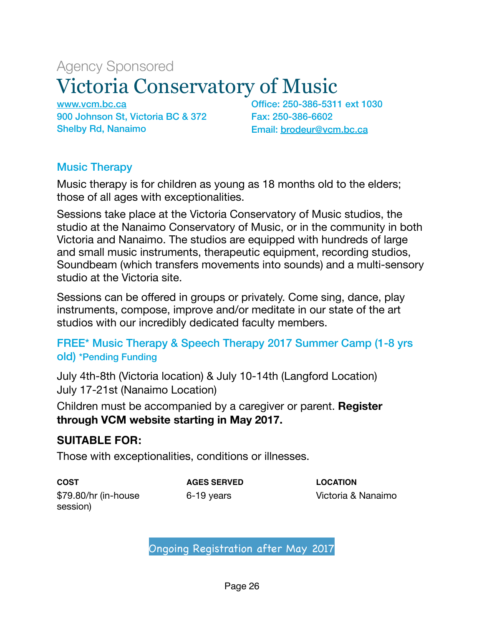# <span id="page-25-0"></span>Agency Sponsored Victoria Conservatory of Music

[www.vcm.bc.ca](http://www.vcm.bc.ca) 900 Johnson St, Victoria BC & 372 Shelby Rd, Nanaimo

Office: 250-386-5311 ext 1030 Fax: 250-386-6602 Email: [brodeur@vcm.bc.ca](mailto:brodeur@vcm.bc.ca)

## Music Therapy

Music therapy is for children as young as 18 months old to the elders; those of all ages with exceptionalities.

Sessions take place at the Victoria Conservatory of Music studios, the studio at the Nanaimo Conservatory of Music, or in the community in both Victoria and Nanaimo. The studios are equipped with hundreds of large and small music instruments, therapeutic equipment, recording studios, Soundbeam (which transfers movements into sounds) and a multi-sensory studio at the Victoria site.

Sessions can be offered in groups or privately. Come sing, dance, play instruments, compose, improve and/or meditate in our state of the art studios with our incredibly dedicated faculty members.

## FREE\* Music Therapy & Speech Therapy 2017 Summer Camp (1-8 yrs old) \*Pending Funding

July 4th-8th (Victoria location) & July 10-14th (Langford Location) July 17-21st (Nanaimo Location)

Children must be accompanied by a caregiver or parent. **Register through VCM website starting in May 2017.** 

## **SUITABLE FOR:**

Those with exceptionalities, conditions or illnesses.

**COST** \$79.80/hr (in-house session)

**AGES SERVED** 6-19 years

**LOCATION** Victoria & Nanaimo

Ongoing Registration after May 2017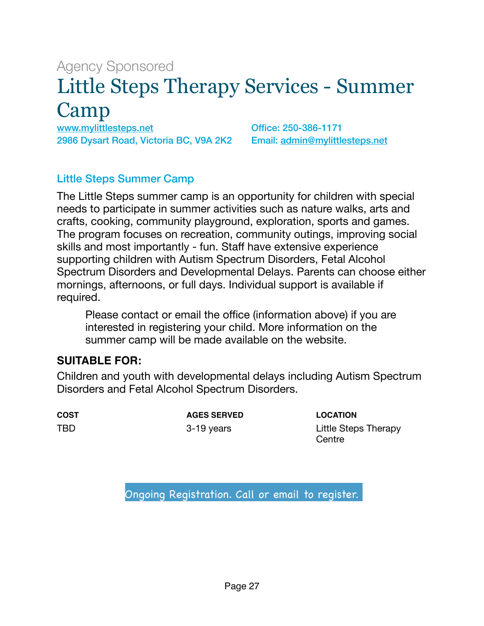# <span id="page-26-0"></span>Agency Sponsored Little Steps Therapy Services - Summer Camp

[www.mylittlesteps.net](http://www.mylittlesteps.net) 2986 Dysart Road, Victoria BC, V9A 2K2

Office: 250-386-1171 Email: [admin@mylittlesteps.net](mailto:admin@mylittlesteps.net)

### Little Steps Summer Camp

The Little Steps summer camp is an opportunity for children with special needs to participate in summer activities such as nature walks, arts and crafts, cooking, community playground, exploration, sports and games. The program focuses on recreation, community outings, improving social skills and most importantly - fun. Staff have extensive experience supporting children with Autism Spectrum Disorders, Fetal Alcohol Spectrum Disorders and Developmental Delays. Parents can choose either mornings, afternoons, or full days. Individual support is available if required.

Please contact or email the office (information above) if you are interested in registering your child. More information on the summer camp will be made available on the website.

#### **SUITABLE FOR:**

Children and youth with developmental delays including Autism Spectrum Disorders and Fetal Alcohol Spectrum Disorders.

**COST** TBD

**AGES SERVED** 3-19 years

**LOCATION** Little Steps Therapy **Centre** 

Ongoing Registration. Call or email to register.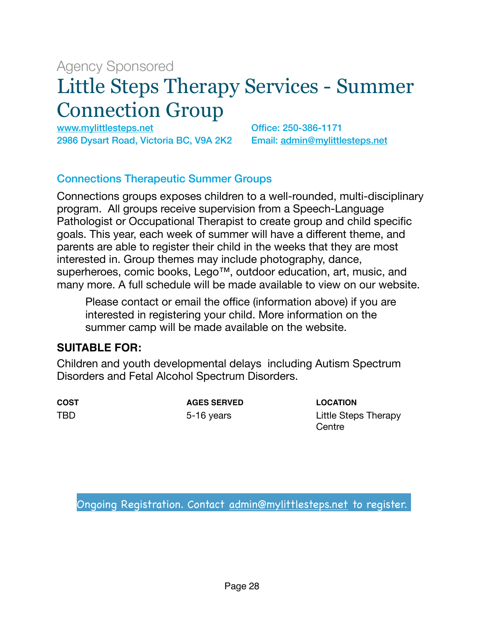# <span id="page-27-0"></span>Agency Sponsored Little Steps Therapy Services - Summer Connection Group

[www.mylittlesteps.net](http://www.mylittlesteps.net) 2986 Dysart Road, Victoria BC, V9A 2K2

Office: 250-386-1171 Email: [admin@mylittlesteps.net](mailto:admin@mylittlesteps.net)

#### Connections Therapeutic Summer Groups

Connections groups exposes children to a well-rounded, multi-disciplinary program. All groups receive supervision from a Speech-Language Pathologist or Occupational Therapist to create group and child specific goals. This year, each week of summer will have a different theme, and parents are able to register their child in the weeks that they are most interested in. Group themes may include photography, dance, superheroes, comic books, Lego<sup>™</sup>, outdoor education, art, music, and many more. A full schedule will be made available to view on our website.

Please contact or email the office (information above) if you are interested in registering your child. More information on the summer camp will be made available on the website.

#### **SUITABLE FOR:**

Children and youth developmental delays including Autism Spectrum Disorders and Fetal Alcohol Spectrum Disorders.

**COST** TBD

**AGES SERVED** 5-16 years

**LOCATION** Little Steps Therapy **Centre** 

Ongoing Registration. Contact [admin@mylittlesteps.net](mailto:admin@mylittlesteps.net) to register.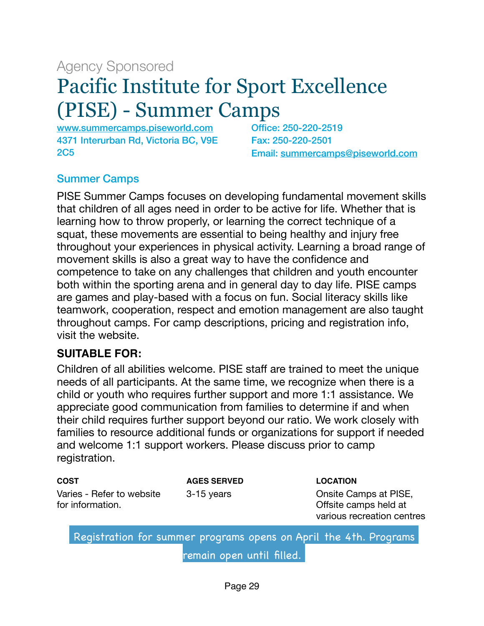# <span id="page-28-0"></span>Agency Sponsored Pacific Institute for Sport Excellence (PISE) - Summer Camps

[www.summercamps.piseworld.com](http://www.summercamps.piseworld.com)  4371 Interurban Rd, Victoria BC, V9E 2C5

Office: 250-220-2519 Fax: 250-220-2501 Email: [summercamps@piseworld.com](mailto:summercamps@piseworld.com)

## Summer Camps

PISE Summer Camps focuses on developing fundamental movement skills that children of all ages need in order to be active for life. Whether that is learning how to throw properly, or learning the correct technique of a squat, these movements are essential to being healthy and injury free throughout your experiences in physical activity. Learning a broad range of movement skills is also a great way to have the confidence and competence to take on any challenges that children and youth encounter both within the sporting arena and in general day to day life. PISE camps are games and play-based with a focus on fun. Social literacy skills like teamwork, cooperation, respect and emotion management are also taught throughout camps. For camp descriptions, pricing and registration info, visit the website.

#### **SUITABLE FOR:**

Children of all abilities welcome. PISE staff are trained to meet the unique needs of all participants. At the same time, we recognize when there is a child or youth who requires further support and more 1:1 assistance. We appreciate good communication from families to determine if and when their child requires further support beyond our ratio. We work closely with families to resource additional funds or organizations for support if needed and welcome 1:1 support workers. Please discuss prior to camp registration.

| <b>COST</b>                                   | <b>AGES SERVED</b> | <b>LOCATION</b>                                                              |
|-----------------------------------------------|--------------------|------------------------------------------------------------------------------|
| Varies - Refer to website<br>for information. | 3-15 years         | Onsite Camps at PISE,<br>Offsite camps held at<br>various recreation centres |

 Registration for summer programs opens on April the 4th. Programs remain open until filled.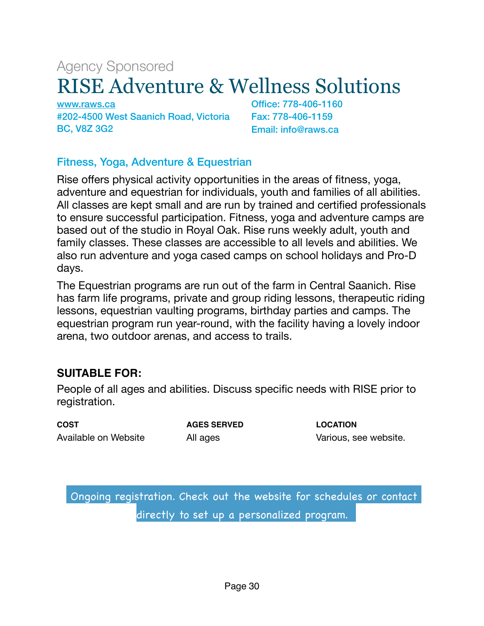# <span id="page-29-0"></span>Agency Sponsored RISE Adventure & Wellness Solutions

[www.raws.ca](http://www.raws.ca)  #202-4500 West Saanich Road, Victoria BC, V8Z 3G2

Office: 778-406-1160 Fax: 778-406-1159 Email: info@raws.ca

## Fitness, Yoga, Adventure & Equestrian

Rise offers physical activity opportunities in the areas of fitness, yoga, adventure and equestrian for individuals, youth and families of all abilities. All classes are kept small and are run by trained and certified professionals to ensure successful participation. Fitness, yoga and adventure camps are based out of the studio in Royal Oak. Rise runs weekly adult, youth and family classes. These classes are accessible to all levels and abilities. We also run adventure and yoga cased camps on school holidays and Pro-D days.

The Equestrian programs are run out of the farm in Central Saanich. Rise has farm life programs, private and group riding lessons, therapeutic riding lessons, equestrian vaulting programs, birthday parties and camps. The equestrian program run year-round, with the facility having a lovely indoor arena, two outdoor arenas, and access to trails.

## **SUITABLE FOR:**

People of all ages and abilities. Discuss specific needs with RISE prior to registration.

**COST** Available on Website **AGES SERVED** All ages

**LOCATION** Various, see website.

 Ongoing registration. Check out the website for schedules or contact directly to set up a personalized program.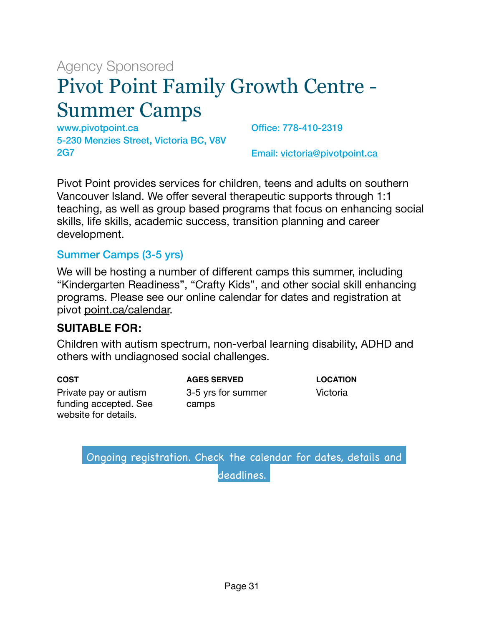# <span id="page-30-0"></span>Agency Sponsored Pivot Point Family Growth Centre - Summer Camps

www.pivotpoint.ca 5-230 Menzies Street, Victoria BC, V8V 2G7

Office: 778-410-2319

Email: [victoria@pivotpoint.ca](mailto:victoria@pivotpoint.ca)

Pivot Point provides services for children, teens and adults on southern Vancouver Island. We offer several therapeutic supports through 1:1 teaching, as well as group based programs that focus on enhancing social skills, life skills, academic success, transition planning and career development.

## Summer Camps (3-5 yrs)

We will be hosting a number of different camps this summer, including "Kindergarten Readiness", "Crafty Kids", and other social skill enhancing programs. Please see our online calendar for dates and registration at pivot [point.ca/calendar.](http://point.ca/calendar)

## **SUITABLE FOR:**

Children with autism spectrum, non-verbal learning disability, ADHD and others with undiagnosed social challenges.

**COST** Private pay or autism funding accepted. See website for details.

**AGES SERVED** 3-5 yrs for summer camps

**LOCATION** Victoria

 Ongoing registration. Check the calendar for dates, details and deadlines.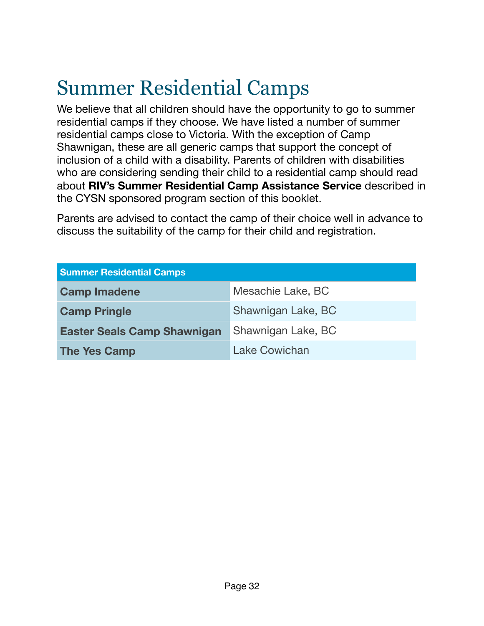# <span id="page-31-0"></span>Summer Residential Camps

We believe that all children should have the opportunity to go to summer residential camps if they choose. We have listed a number of summer residential camps close to Victoria. With the exception of Camp Shawnigan, these are all generic camps that support the concept of inclusion of a child with a disability. Parents of children with disabilities who are considering sending their child to a residential camp should read about **RIV's Summer Residential Camp Assistance Service** described in the CYSN sponsored program section of this booklet.

Parents are advised to contact the camp of their choice well in advance to discuss the suitability of the camp for their child and registration.

| <b>Summer Residential Camps</b>    |                    |  |
|------------------------------------|--------------------|--|
| <b>Camp Imadene</b>                | Mesachie Lake, BC  |  |
| <b>Camp Pringle</b>                | Shawnigan Lake, BC |  |
| <b>Easter Seals Camp Shawnigan</b> | Shawnigan Lake, BC |  |
| <b>The Yes Camp</b>                | Lake Cowichan      |  |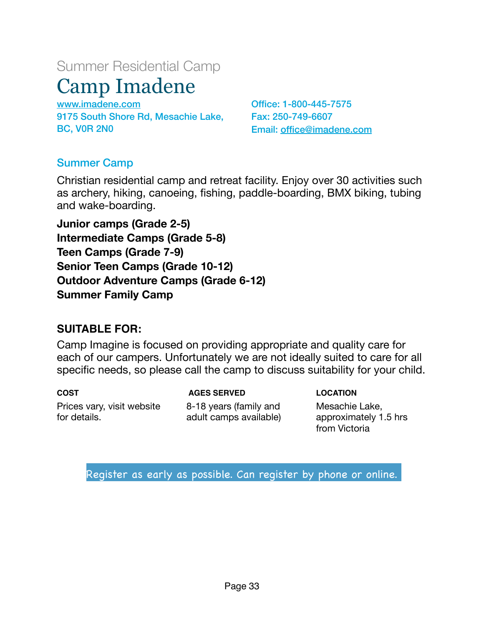# Summer Residential Camp

# <span id="page-32-0"></span>Camp Imadene

[www.imadene.com](http://www.imadene.com)  9175 South Shore Rd, Mesachie Lake, BC, V0R 2N0

Office: 1-800-445-7575 Fax: 250-749-6607 Email: [office@imadene.com](mailto:office@imadene.com)

## Summer Camp

Christian residential camp and retreat facility. Enjoy over 30 activities such as archery, hiking, canoeing, fishing, paddle-boarding, BMX biking, tubing and wake-boarding.

**Junior camps (Grade 2-5) Intermediate Camps (Grade 5-8) Teen Camps (Grade 7-9) Senior Teen Camps (Grade 10-12) Outdoor Adventure Camps (Grade 6-12) Summer Family Camp** 

## **SUITABLE FOR:**

Camp Imagine is focused on providing appropriate and quality care for each of our campers. Unfortunately we are not ideally suited to care for all specific needs, so please call the camp to discuss suitability for your child.

**COST** Prices vary, visit website for details.

 **AGES SERVED**

8-18 years (family and adult camps available) **LOCATION** Mesachie Lake, approximately 1.5 hrs from Victoria

Register as early as possible. Can register by phone or online.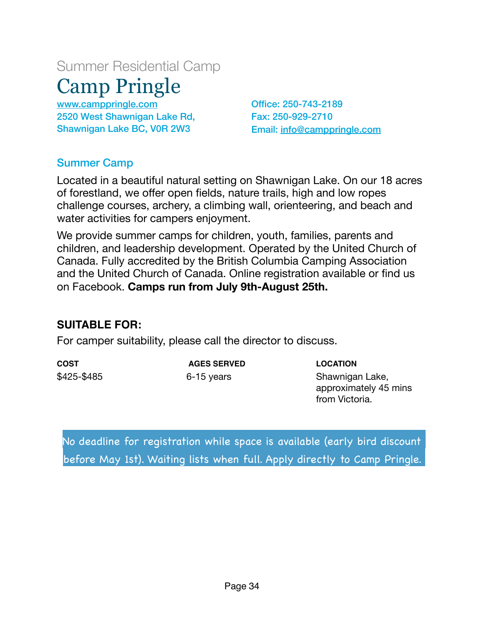# <span id="page-33-0"></span>Summer Residential Camp Camp Pringle

[www.camppringle.com](http://www.camppringle.com) 2520 West Shawnigan Lake Rd, Shawnigan Lake BC, V0R 2W3

Office: 250-743-2189 Fax: 250-929-2710 Email: [info@camppringle.com](mailto:info@camppringle.com)

## Summer Camp

Located in a beautiful natural setting on Shawnigan Lake. On our 18 acres of forestland, we offer open fields, nature trails, high and low ropes challenge courses, archery, a climbing wall, orienteering, and beach and water activities for campers enjoyment.

We provide summer camps for children, youth, families, parents and children, and leadership development. Operated by the United Church of Canada. Fully accredited by the British Columbia Camping Association and the United Church of Canada. Online registration available or find us on Facebook. **Camps run from July 9th-August 25th.** 

## **SUITABLE FOR:**

For camper suitability, please call the director to discuss.

**COST** \$425-\$485

 **AGES SERVED** 6-15 years

**LOCATION** Shawnigan Lake, approximately 45 mins from Victoria.

No deadline for registration while space is available (early bird discount before May 1st). Waiting lists when full. Apply directly to Camp Pringle.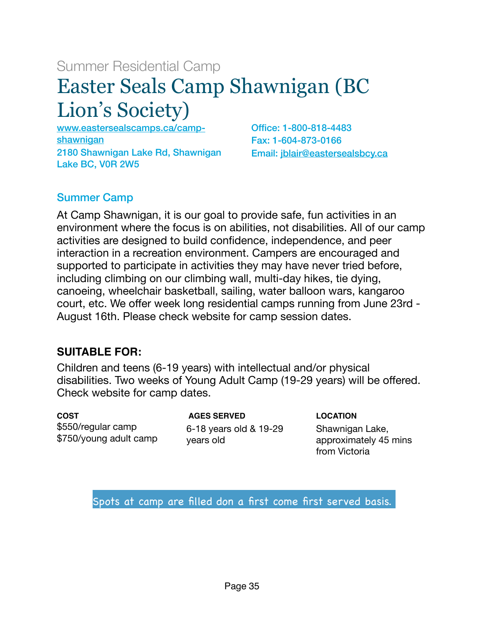# Summer Residential Camp

# <span id="page-34-0"></span>Easter Seals Camp Shawnigan (BC Lion's Society)

[www.eastersealscamps.ca/camp](http://www.eastersealscamps.ca/camp-shawnigan)[shawnigan](http://www.eastersealscamps.ca/camp-shawnigan)  2180 Shawnigan Lake Rd, Shawnigan Lake BC, V0R 2W5

Office: 1-800-818-4483 Fax: 1-604-873-0166 Email: [jblair@eastersealsbcy.ca](mailto:jblair@eastersealsbcy.ca)

# Summer Camp

At Camp Shawnigan, it is our goal to provide safe, fun activities in an environment where the focus is on abilities, not disabilities. All of our camp activities are designed to build confidence, independence, and peer interaction in a recreation environment. Campers are encouraged and supported to participate in activities they may have never tried before, including climbing on our climbing wall, multi-day hikes, tie dying, canoeing, wheelchair basketball, sailing, water balloon wars, kangaroo court, etc. We offer week long residential camps running from June 23rd - August 16th. Please check website for camp session dates.

## **SUITABLE FOR:**

Children and teens (6-19 years) with intellectual and/or physical disabilities. Two weeks of Young Adult Camp (19-29 years) will be offered. Check website for camp dates.

**COST** \$550/regular camp \$750/young adult camp

 **AGES SERVED** 6-18 years old & 19-29 years old

**LOCATION**

Shawnigan Lake, approximately 45 mins from Victoria

Spots at camp are filled don a first come first served basis.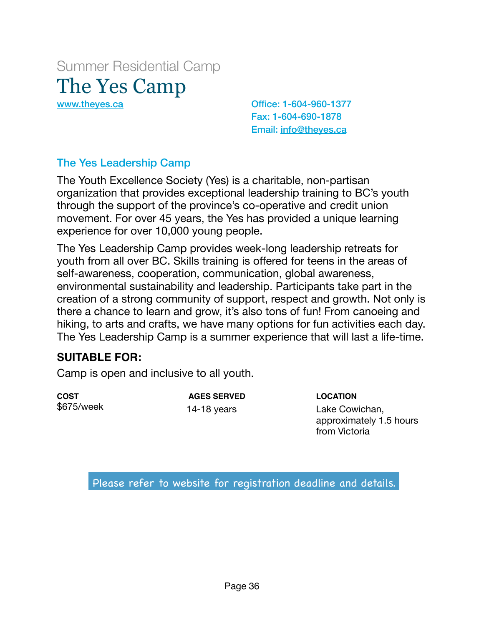<span id="page-35-0"></span>Summer Residential Camp The Yes Camp

[www.theyes.ca](http://www.theyes.ca) Christian Controllery Controllery Controllery Office: 1-604-960-1377 Fax: 1-604-690-1878 Email: [info@theyes.ca](mailto:info@theyes.ca)

## The Yes Leadership Camp

The Youth Excellence Society (Yes) is a charitable, non-partisan organization that provides exceptional leadership training to BC's youth through the support of the province's co-operative and credit union movement. For over 45 years, the Yes has provided a unique learning experience for over 10,000 young people.

The Yes Leadership Camp provides week-long leadership retreats for youth from all over BC. Skills training is offered for teens in the areas of self-awareness, cooperation, communication, global awareness, environmental sustainability and leadership. Participants take part in the creation of a strong community of support, respect and growth. Not only is there a chance to learn and grow, it's also tons of fun! From canoeing and hiking, to arts and crafts, we have many options for fun activities each day. The Yes Leadership Camp is a summer experience that will last a life-time.

#### **SUITABLE FOR:**

Camp is open and inclusive to all youth.

**COST** \$675/week

 **AGES SERVED** 14-18 years

**LOCATION** Lake Cowichan, approximately 1.5 hours from Victoria

Please refer to website for registration deadline and details.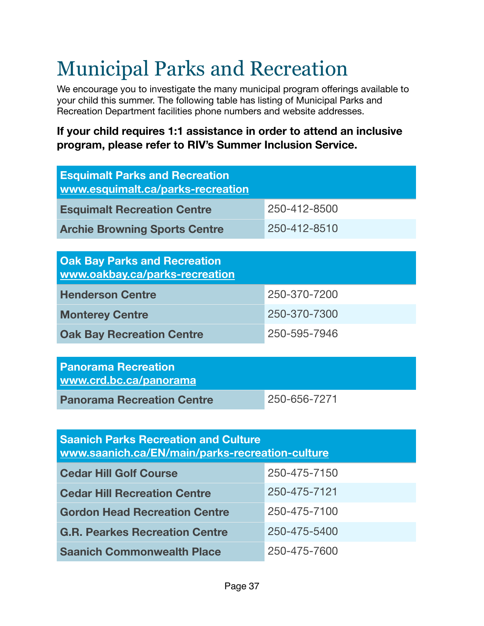# <span id="page-36-0"></span>Municipal Parks and Recreation

We encourage you to investigate the many municipal program offerings available to your child this summer. The following table has listing of Municipal Parks and Recreation Department facilities phone numbers and website addresses.

## **If your child requires 1:1 assistance in order to attend an inclusive program, please refer to RIV's Summer Inclusion Service.**

| 250-412-8500                                                          |  |  |  |
|-----------------------------------------------------------------------|--|--|--|
| 250-412-8510                                                          |  |  |  |
|                                                                       |  |  |  |
| <b>Oak Bay Parks and Recreation</b><br>www.oakbay.ca/parks-recreation |  |  |  |
| 250-370-7200                                                          |  |  |  |
| 250-370-7300                                                          |  |  |  |
| 250-595-7946                                                          |  |  |  |
|                                                                       |  |  |  |
|                                                                       |  |  |  |

| <b>Panorama Recreation</b><br>www.crd.bc.ca/panorama |              |  |
|------------------------------------------------------|--------------|--|
| <b>Panorama Recreation Centre</b>                    | 250-656-7271 |  |

| <b>Saanich Parks Recreation and Culture</b><br>www.saanich.ca/EN/main/parks-recreation-culture |              |
|------------------------------------------------------------------------------------------------|--------------|
| <b>Cedar Hill Golf Course</b>                                                                  | 250-475-7150 |
| <b>Cedar Hill Recreation Centre</b>                                                            | 250-475-7121 |
| <b>Gordon Head Recreation Centre</b>                                                           | 250-475-7100 |
| <b>G.R. Pearkes Recreation Centre</b>                                                          | 250-475-5400 |
| <b>Saanich Commonwealth Place</b>                                                              | 250-475-7600 |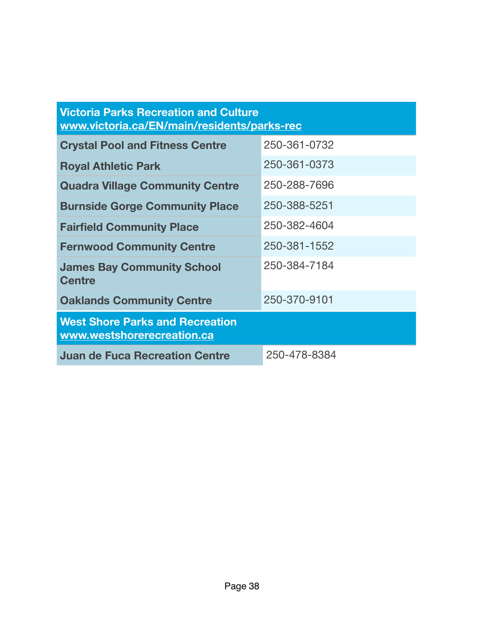| <b>Victoria Parks Recreation and Culture</b><br>www.victoria.ca/EN/main/residents/parks-rec |              |  |
|---------------------------------------------------------------------------------------------|--------------|--|
| <b>Crystal Pool and Fitness Centre</b>                                                      | 250-361-0732 |  |
| <b>Royal Athletic Park</b>                                                                  | 250-361-0373 |  |
| <b>Quadra Village Community Centre</b>                                                      | 250-288-7696 |  |
| <b>Burnside Gorge Community Place</b>                                                       | 250-388-5251 |  |
| <b>Fairfield Community Place</b>                                                            | 250-382-4604 |  |
| <b>Fernwood Community Centre</b>                                                            | 250-381-1552 |  |
| <b>James Bay Community School</b><br><b>Centre</b>                                          | 250-384-7184 |  |
| <b>Oaklands Community Centre</b>                                                            | 250-370-9101 |  |
| <b>West Shore Parks and Recreation</b><br>www.westshorerecreation.ca                        |              |  |
| <b>Juan de Fuca Recreation Centre</b>                                                       | 250-478-8384 |  |